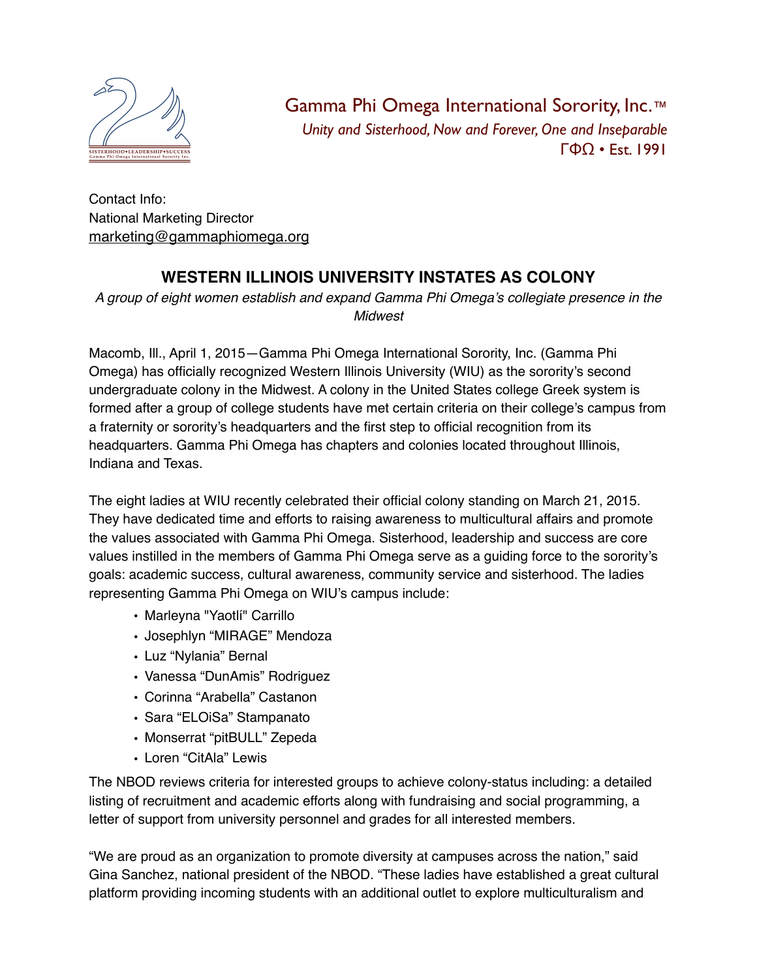

Gamma Phi Omega International Sorority, Inc.™ *Unity and Sisterhood, Now and Forever, One and Inseparable* ΓΦΩ • Est. 1991

Contact Info: National Marketing Director [marketing@gammaphiomega.org](mailto:marketing@gammaphiomega.org)

## **WESTERN ILLINOIS UNIVERSITY INSTATES AS COLONY**

*A group of eight women establish and expand Gamma Phi Omega's collegiate presence in the Midwest*

Macomb, Ill., April 1, 2015—Gamma Phi Omega International Sorority, Inc. (Gamma Phi Omega) has officially recognized Western Illinois University (WIU) as the sorority's second undergraduate colony in the Midwest. A colony in the United States college Greek system is formed after a group of college students have met certain criteria on their college's campus from a fraternity or sorority's headquarters and the first step to official recognition from its headquarters. Gamma Phi Omega has chapters and colonies located throughout Illinois, Indiana and Texas.

The eight ladies at WIU recently celebrated their official colony standing on March 21, 2015. They have dedicated time and efforts to raising awareness to multicultural affairs and promote the values associated with Gamma Phi Omega. Sisterhood, leadership and success are core values instilled in the members of Gamma Phi Omega serve as a guiding force to the sorority's goals: academic success, cultural awareness, community service and sisterhood. The ladies representing Gamma Phi Omega on WIU's campus include:

- Marleyna "Yaotlí" Carrillo
- Josephlyn "MIRAGE" Mendoza
- Luz "Nylania" Bernal
- Vanessa "DunAmis" Rodriguez
- Corinna "Arabella" Castanon
- Sara "ELOiSa" Stampanato
- Monserrat "pitBULL" Zepeda
- Loren "CitAla" Lewis

The NBOD reviews criteria for interested groups to achieve colony-status including: a detailed listing of recruitment and academic efforts along with fundraising and social programming, a letter of support from university personnel and grades for all interested members.

"We are proud as an organization to promote diversity at campuses across the nation," said Gina Sanchez, national president of the NBOD. "These ladies have established a great cultural platform providing incoming students with an additional outlet to explore multiculturalism and